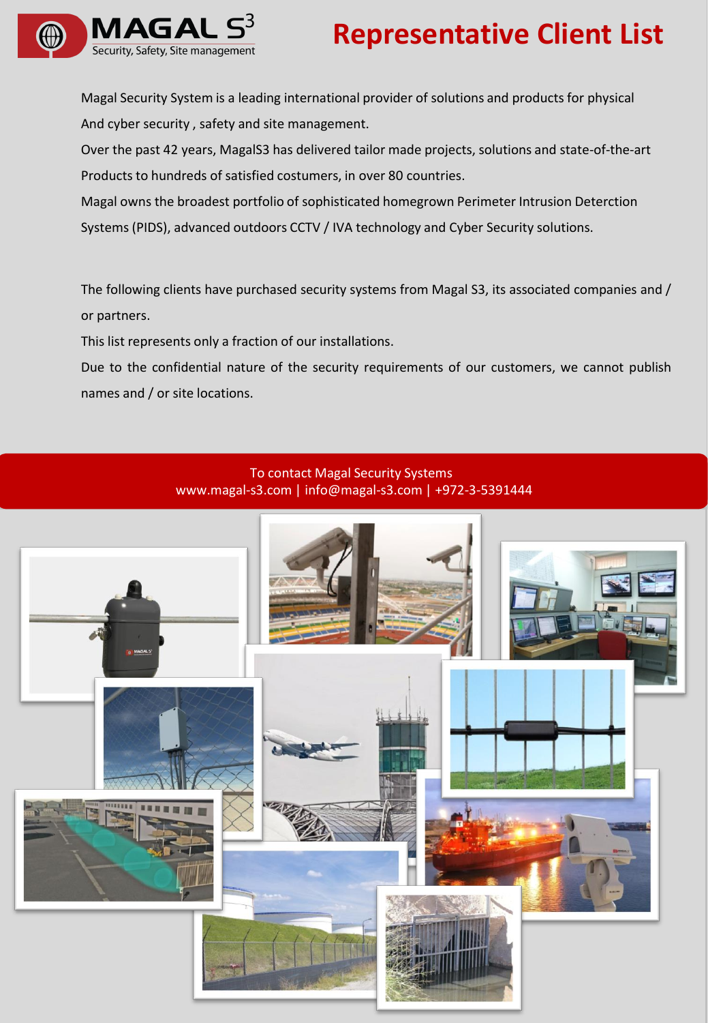

# **Representative Client List**

Magal Security System is a leading international provider of solutions and productsfor physical And cyber security , safety and site management.

Over the past 42 years, MagalS3 has delivered tailor made projects, solutions and state-of-the-art Products to hundreds of satisfied costumers, in over 80 countries.

Magal owns the broadest portfolio of sophisticated homegrown Perimeter Intrusion Deterction Systems(PIDS), advanced outdoors CCTV / IVA technology and Cyber Security solutions.

The following clients have purchased security systems from Magal S3, its associated companies and / or partners.

This list represents only a fraction of our installations.

Due to the confidential nature of the security requirements of our customers, we cannot publish names and / or site locations.

### To contact Magal Security Systems www.magal-s3.com | info@magal-s3.com | +972-3-5391444

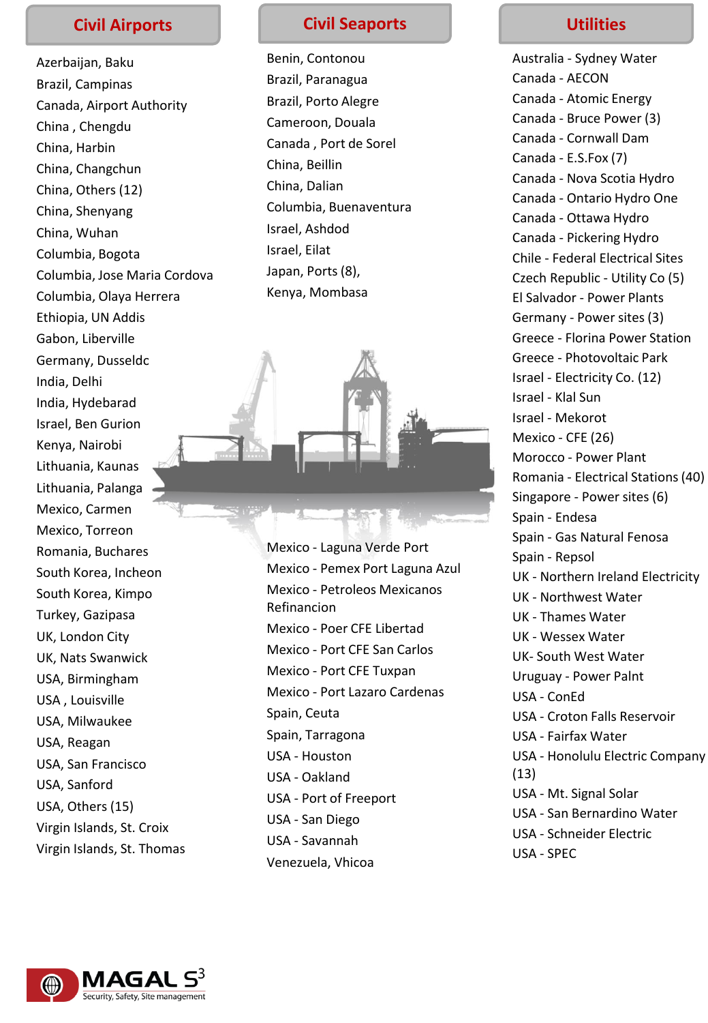Azerbaijan, Baku Brazil, Campinas Canada, Airport Authority China , Chengdu China, Harbin China, Changchun China, Others (12) China, Shenyang China, Wuhan Columbia, Bogota Columbia, Jose Maria Cordova Columbia, Olaya Herrera Ethiopia, UN Addis Gabon, Liberville Germany, Dusseldo India, Delhi India, Hydebarad Israel, Ben Gurion Kenya, Nairobi Lithuania, Kaunas Lithuania, Palanga Mexico, Carmen Mexico, Torreon Romania, Buchares South Korea, Incheon South Korea, Kimpo Turkey, Gazipasa UK, London City UK, Nats Swanwick USA, Birmingham USA , Louisville USA, Milwaukee USA, Reagan USA, San Francisco USA, Sanford USA, Others (15) Virgin Islands, St. Croix Virgin Islands, St. Thomas

## **Civil Airports Civil Seaports**

Benin, Contonou Brazil, Paranagua Brazil, Porto Alegre Cameroon, Douala Canada , Port de Sorel China, Beillin China, Dalian Columbia, Buenaventura Israel, Ashdod Israel, Eilat Japan, Ports (8), Kenya, Mombasa



Mexico - Laguna Verde Port Mexico - Pemex Port Laguna Azul Mexico - Petroleos Mexicanos Refinancion Mexico - Poer CFE Libertad Mexico - Port CFE San Carlos Mexico - Port CFE Tuxpan Mexico - Port Lazaro Cardenas Spain, Ceuta Spain, Tarragona USA - Houston USA - Oakland USA - Port of Freeport USA - San Diego USA - Savannah Venezuela, Vhicoa

## **Utilities**

Australia - Sydney Water Canada - AECON Canada - Atomic Energy Canada - Bruce Power (3) Canada - Cornwall Dam Canada - E.S.Fox (7) Canada - Nova Scotia Hydro Canada - Ontario Hydro One Canada - Ottawa Hydro Canada - Pickering Hydro Chile - Federal Electrical Sites Czech Republic - Utility Co (5) El Salvador - Power Plants Germany - Power sites (3) Greece - Florina Power Station Greece - Photovoltaic Park Israel - Electricity Co. (12) Israel - Klal Sun Israel - Mekorot Mexico - CFE (26) Morocco - Power Plant Romania - Electrical Stations (40) Singapore - Power sites (6) Spain - Endesa Spain - Gas Natural Fenosa Spain - Repsol UK - Northern Ireland Electricity UK - Northwest Water UK - Thames Water UK - Wessex Water UK- South West Water Uruguay - Power Palnt USA - ConEd USA - Croton Falls Reservoir USA - Fairfax Water USA - Honolulu Electric Company (13) USA - Mt. Signal Solar USA - San Bernardino Water USA - Schneider Electric



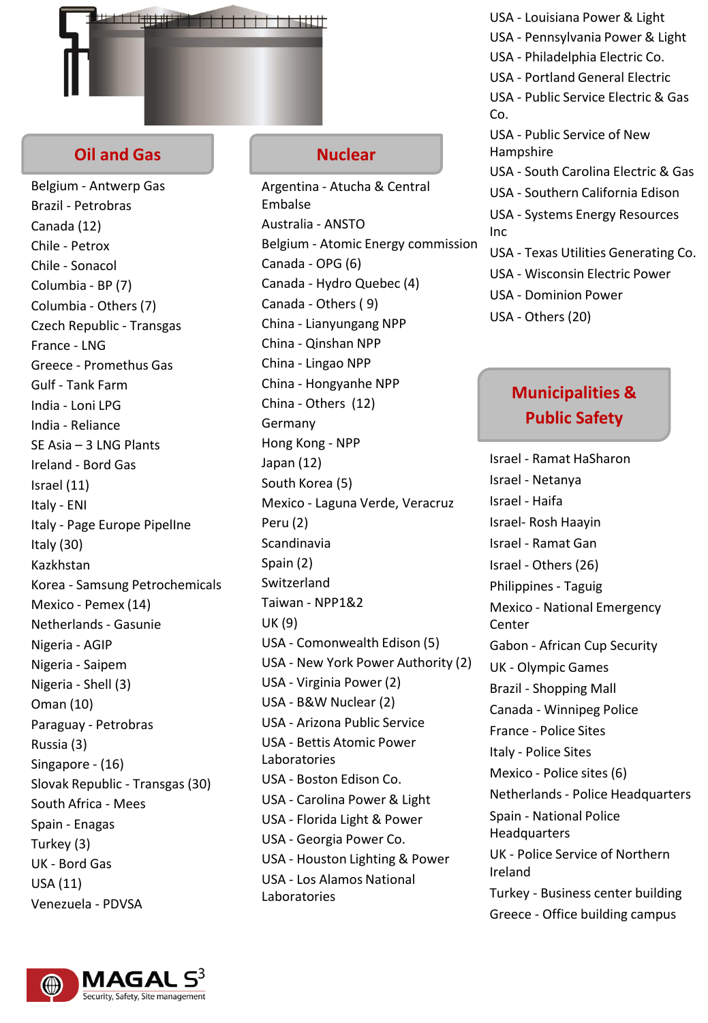

## **Oil and Gas**

Belgium - Antwerp Gas Brazil - Petrobras Canada (12) Chile - Petrox Chile - Sonacol Columbia - BP (7) Columbia - Others (7) Czech Republic - Transgas France - LNG Greece - Promethus Gas Gulf - Tank Farm India - Loni LPG India - Reliance SE Asia – 3 LNG Plants Ireland - Bord Gas Israel (11) Italy - ENI Italy - Page Europe PipelIne Italy (30) Kazkhstan Korea - Samsung Petrochemicals Mexico - Pemex (14) Netherlands - Gasunie Nigeria - AGIP Nigeria - Saipem Nigeria - Shell (3) Oman (10) Paraguay - Petrobras Russia (3) Singapore - (16) Slovak Republic - Transgas (30) South Africa - Mees Spain - Enagas Turkey (3) UK - Bord Gas USA (11) Venezuela - PDVSA

## **Nuclear**

Argentina - Atucha & Central Embalse Australia - ANSTO Belgium - Atomic Energy commission Canada - OPG (6) Canada - Hydro Quebec (4) Canada - Others ( 9) China - Lianyungang NPP China - Qinshan NPP China - Lingao NPP China - Hongyanhe NPP China - Others (12) Germany Hong Kong - NPP Japan (12) South Korea (5) Mexico - Laguna Verde, Veracruz Peru (2) Scandinavia Spain (2) Switzerland Taiwan - NPP1&2 UK (9) USA - Comonwealth Edison (5) USA - New York Power Authority (2) USA - Virginia Power (2) USA - B&W Nuclear (2) USA - Arizona Public Service USA - Bettis Atomic Power Laboratories USA - Boston Edison Co. USA - Carolina Power & Light USA - Florida Light & Power USA - Georgia Power Co. USA - Houston Lighting & Power USA - Los Alamos National Laboratories

- USA Louisiana Power & Light
- USA Pennsylvania Power & Light
- USA Philadelphia Electric Co.
- USA Portland General Electric
- USA Public Service Electric & Gas Co.
- USA Public Service of New Hampshire
- USA South Carolina Electric & Gas
- USA Southern California Edison
- USA Systems Energy Resources Inc
- USA Texas Utilities Generating Co.
- USA Wisconsin Electric Power
- USA Dominion Power
- USA Others (20)

## **Municipalities & Public Safety**

Israel - Ramat HaSharon Israel - Netanya Israel - Haifa Israel- Rosh Haayin Israel - Ramat Gan Israel - Others (26) Philippines - Taguig Mexico - National Emergency Center Gabon - African Cup Security UK - Olympic Games Brazil - Shopping Mall Canada - Winnipeg Police France - Police Sites Italy - Police Sites Mexico - Police sites (6) Netherlands - Police Headquarters Spain - National Police **Headquarters** UK - Police Service of Northern Ireland Turkey - Business center building Greece - Office building campus

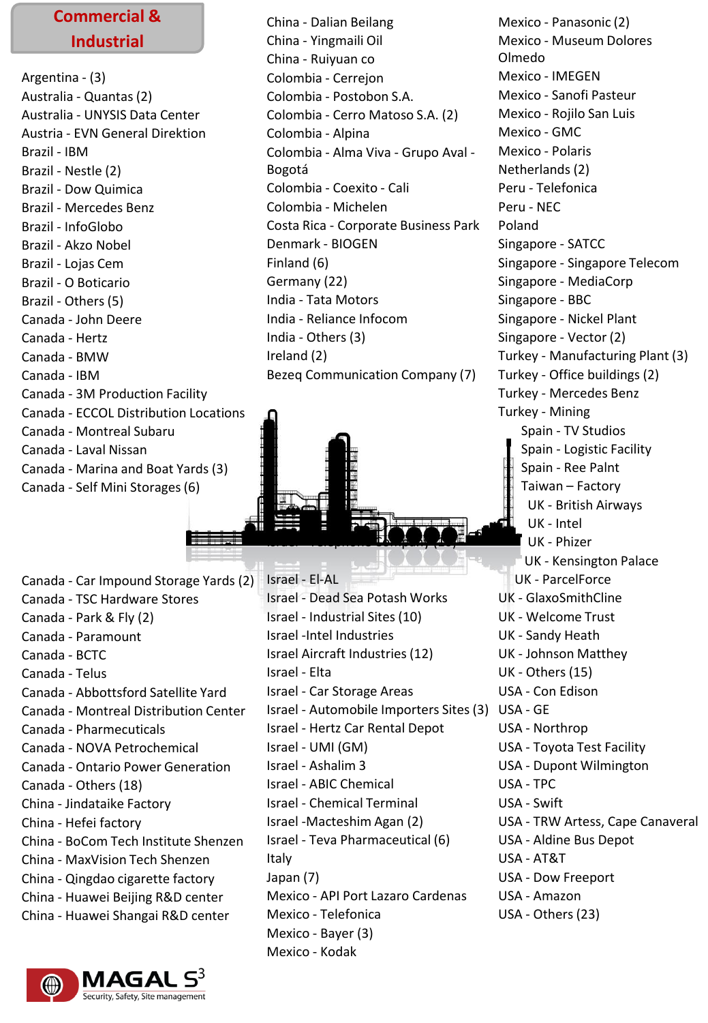## **Commercial & Industrial**

Argentina - (3) Australia - Quantas (2) Australia - UNYSIS Data Center Austria - EVN General Direktion Brazil - IBM Brazil - Nestle (2) Brazil - Dow Quimica Brazil - Mercedes Benz Brazil - InfoGlobo Brazil - Akzo Nobel Brazil - Lojas Cem Brazil - O Boticario Brazil - Others (5) Canada - John Deere Canada - Hertz Canada - BMW Canada - IBM Canada - 3M Production Facility Canada - ECCOL Distribution Locations Canada - Montreal Subaru Canada - Laval Nissan Canada - Marina and Boat Yards (3) Canada - Self Mini Storages (6)

Canada - Car Impound Storage Yards (2) Canada - TSC Hardware Stores Canada - Park & Fly (2) Canada - Paramount Canada - BCTC Canada - Telus Canada - Abbottsford Satellite Yard Canada - Montreal Distribution Center Canada - Pharmecuticals Canada - NOVA Petrochemical Canada - Ontario Power Generation Canada - Others (18) China - Jindataike Factory China - Hefei factory China - BoCom Tech Institute Shenzen China - MaxVision Tech Shenzen China - Qingdao cigarette factory China - Huawei Beijing R&D center China - Huawei Shangai R&D center

 $-2$   $-1$ 



China - Dalian Beilang China - Yingmaili Oil China - Ruiyuan co Colombia - Cerrejon Colombia - Postobon S.A. Colombia - Cerro Matoso S.A. (2) Colombia - Alpina Colombia - Alma Viva - Grupo Aval - Bogotá Colombia - Coexito - Cali Colombia - Michelen Costa Rica - Corporate Business Park Denmark - BIOGEN Finland (6) Germany (22) India - Tata Motors India - Reliance Infocom India - Others (3) Ireland (2) Bezeq Communication Company (7)

Israel - El-AL Israel - Dead Sea Potash Works Israel - Industrial Sites (10) Israel -Intel Industries Israel Aircraft Industries (12) Israel - Elta Israel - Car Storage Areas Israel - Automobile Importers Sites (3) USA - GE Israel - Hertz Car Rental Depot Israel - UMI (GM) Israel - Ashalim 3 Israel - ABIC Chemical Israel - Chemical Terminal Israel -Macteshim Agan (2) Israel - Teva Pharmaceutical (6) Italy Japan (7) Mexico - API Port Lazaro Cardenas Mexico - Telefonica Mexico - Bayer (3)

Israel - Telephone Company (10)

Mexico - Kodak

Mexico - Panasonic (2) Mexico - Museum Dolores Olmedo Mexico - IMEGEN Mexico - Sanofi Pasteur Mexico - Rojilo San Luis Mexico - GMC Mexico - Polaris Netherlands (2) Peru - Telefonica Peru - NEC Poland Singapore - SATCC Singapore - Singapore Telecom Singapore - MediaCorp Singapore - BBC Singapore - Nickel Plant Singapore - Vector (2) Turkey - Manufacturing Plant (3) Turkey - Office buildings (2) Turkey - Mercedes Benz Turkey - Mining Spain - TV Studios Spain - Logistic Facility Spain - Ree Palnt Taiwan – Factory UK - British Airways UK - Intel UK - Phizer UK - Kensington Palace UK - ParcelForce UK - GlaxoSmithCline UK - Welcome Trust UK - Sandy Heath UK - Johnson Matthey UK - Others (15) USA - Con Edison USA - Northrop USA - Toyota Test Facility USA - Dupont Wilmington USA - TPC USA - Swift USA - TRW Artess, Cape Canaveral USA - Aldine Bus Depot USA - AT&T USA - Dow Freeport USA - Amazon USA - Others (23)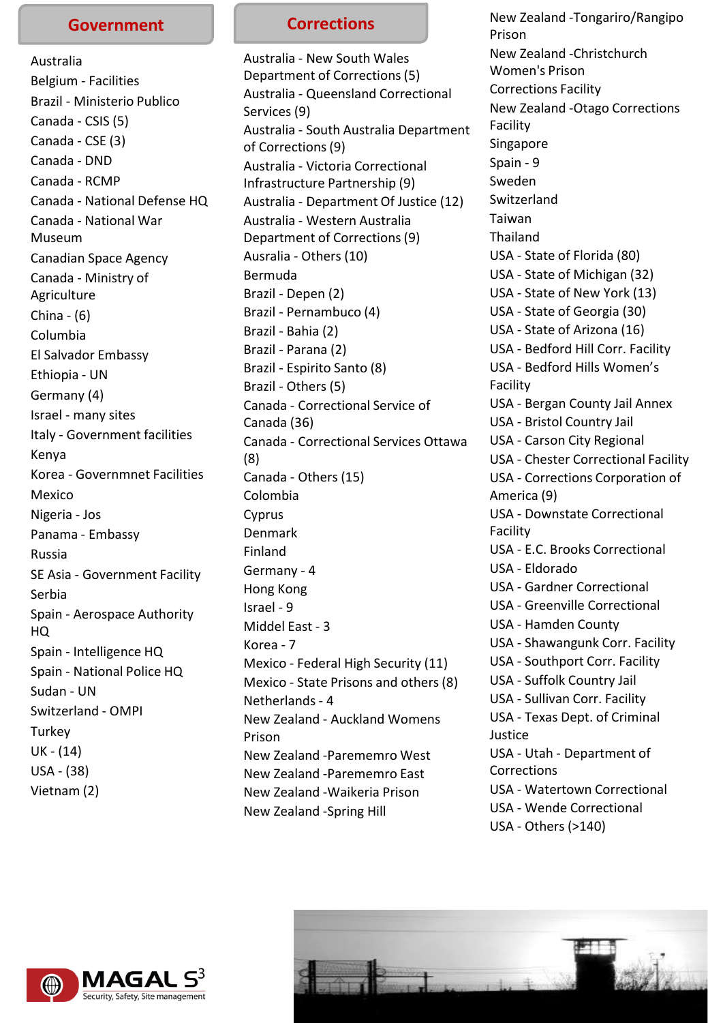#### **Government**

Australia Belgium - Facilities Brazil - Ministerio Publico Canada - CSIS (5) Canada - CSE (3) Canada - DND Canada - RCMP Canada - National Defense HQ Canada - National War Museum Canadian Space Agency Canada - Ministry of **Agriculture** China - (6) Columbia El Salvador Embassy Ethiopia - UN Germany (4) Israel - many sites Italy - Government facilities Kenya Korea - Governmnet Facilities Mexico Nigeria - Jos Panama - Embassy Russia SE Asia - Government Facility Serbia Spain - Aerospace Authority HQ Spain - Intelligence HQ Spain - National Police HQ Sudan - UN Switzerland - OMPI **Turkey** UK - (14) USA - (38) Vietnam (2)

## **Corrections**

Australia - New South Wales Department of Corrections (5) Australia - Queensland Correctional Services (9) Australia - South Australia Department of Corrections (9) Australia - Victoria Correctional Infrastructure Partnership (9) Australia - Department Of Justice (12) Australia - Western Australia Department of Corrections (9) Ausralia - Others (10) Bermuda Brazil - Depen (2) Brazil - Pernambuco (4) Brazil - Bahia (2) Brazil - Parana (2) Brazil - Espirito Santo (8) Brazil - Others (5) Canada - Correctional Service of Canada (36) Canada - Correctional Services Ottawa (8) Canada - Others (15) Colombia Cyprus Denmark Finland Germany - 4 Hong Kong Israel - 9 Middel East - 3 Korea - 7 Mexico - Federal High Security (11) Mexico - State Prisons and others (8) Netherlands - 4 New Zealand - Auckland Womens Prison New Zealand -Parememro West New Zealand -Parememro East New Zealand -Waikeria Prison New Zealand -Spring Hill

New Zealand -Tongariro/Rangipo Prison New Zealand -Christchurch Women's Prison Corrections Facility New Zealand -Otago Corrections Facility Singapore Spain - 9 Sweden Switzerland Taiwan Thailand USA - State of Florida (80) USA - State of Michigan (32) USA - State of New York (13) USA - State of Georgia (30) USA - State of Arizona (16) USA - Bedford Hill Corr. Facility USA - Bedford Hills Women's Facility USA - Bergan County Jail Annex USA - Bristol Country Jail USA - Carson City Regional USA - Chester Correctional Facility USA - Corrections Corporation of America (9) USA - Downstate Correctional Facility USA - E.C. Brooks Correctional USA - Eldorado USA - Gardner Correctional USA - Greenville Correctional USA - Hamden County USA - Shawangunk Corr. Facility USA - Southport Corr. Facility USA - Suffolk Country Jail USA - Sullivan Corr. Facility USA - Texas Dept. of Criminal Justice USA - Utah - Department of Corrections USA - Watertown Correctional USA - Wende Correctional USA - Others (>140)